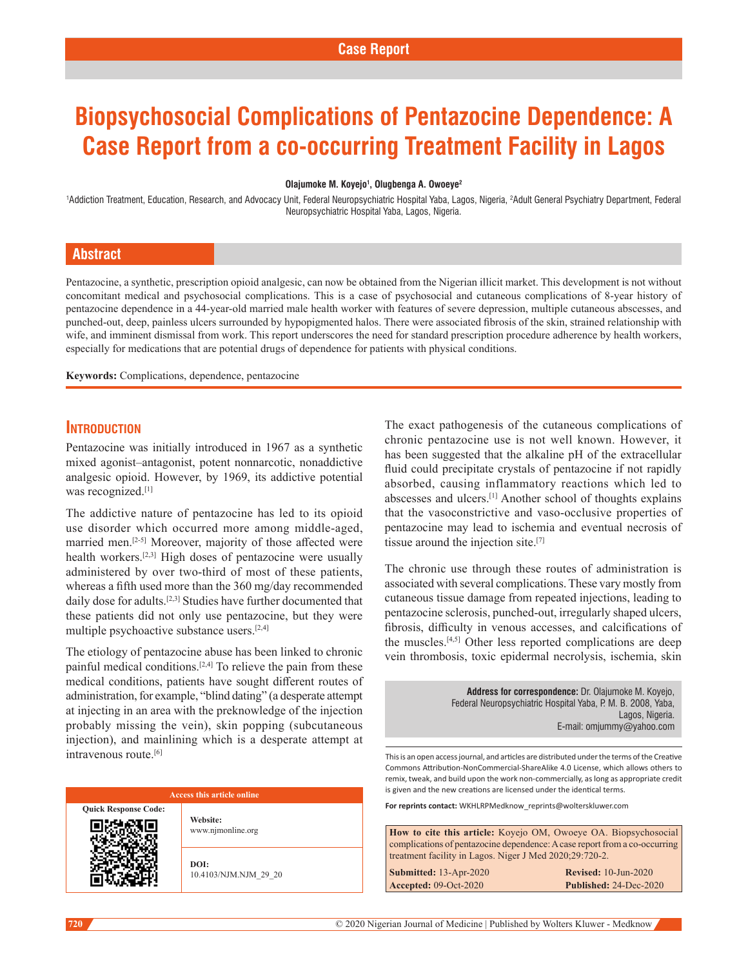# **Biopsychosocial Complications of Pentazocine Dependence: A Case Report from a co-occurring Treatment Facility in Lagos**

#### **Olajumoke M. Koyejo1 , Olugbenga A. Owoeye2**

1 Addiction Treatment, Education, Research, and Advocacy Unit, Federal Neuropsychiatric Hospital Yaba, Lagos, Nigeria, 2 Adult General Psychiatry Department, Federal Neuropsychiatric Hospital Yaba, Lagos, Nigeria.

# **Abstract**

Pentazocine, a synthetic, prescription opioid analgesic, can now be obtained from the Nigerian illicit market. This development is not without concomitant medical and psychosocial complications. This is a case of psychosocial and cutaneous complications of 8‑year history of pentazocine dependence in a 44‑year‑old married male health worker with features of severe depression, multiple cutaneous abscesses, and punched-out, deep, painless ulcers surrounded by hypopigmented halos. There were associated fibrosis of the skin, strained relationship with wife, and imminent dismissal from work. This report underscores the need for standard prescription procedure adherence by health workers, especially for medications that are potential drugs of dependence for patients with physical conditions.

**Keywords:** Complications, dependence, pentazocine

## **Introduction**

Pentazocine was initially introduced in 1967 as a synthetic mixed agonist–antagonist, potent nonnarcotic, nonaddictive analgesic opioid. However, by 1969, its addictive potential was recognized.<sup>[1]</sup>

The addictive nature of pentazocine has led to its opioid use disorder which occurred more among middle-aged, married men.[2-5] Moreover, majority of those affected were health workers.[2,3] High doses of pentazocine were usually administered by over two-third of most of these patients, whereas a fifth used more than the 360 mg/day recommended daily dose for adults.<sup>[2,3]</sup> Studies have further documented that these patients did not only use pentazocine, but they were multiple psychoactive substance users.[2,4]

The etiology of pentazocine abuse has been linked to chronic painful medical conditions.<sup>[2,4]</sup> To relieve the pain from these medical conditions, patients have sought different routes of administration, for example, "blind dating" (a desperate attempt at injecting in an area with the preknowledge of the injection probably missing the vein), skin popping (subcutaneous injection), and mainlining which is a desperate attempt at intravenous route.[6]

| <b>Access this article online</b> |                               |
|-----------------------------------|-------------------------------|
| <b>Response Code:</b>             | Website:<br>www.njmonline.org |
|                                   | DOI:<br>10.4103/NJM.NJM 29 20 |

The exact pathogenesis of the cutaneous complications of chronic pentazocine use is not well known. However, it has been suggested that the alkaline pH of the extracellular fluid could precipitate crystals of pentazocine if not rapidly absorbed, causing inflammatory reactions which led to abscesses and ulcers.[1] Another school of thoughts explains that the vasoconstrictive and vaso‑occlusive properties of pentazocine may lead to ischemia and eventual necrosis of tissue around the injection site.[7]

The chronic use through these routes of administration is associated with several complications. These vary mostly from cutaneous tissue damage from repeated injections, leading to pentazocine sclerosis, punched‑out, irregularly shaped ulcers, fibrosis, difficulty in venous accesses, and calcifications of the muscles.[4,5] Other less reported complications are deep vein thrombosis, toxic epidermal necrolysis, ischemia, skin

> **Address for correspondence:** Dr. Olajumoke M. Koyejo, Federal Neuropsychiatric Hospital Yaba, P. M. B. 2008, Yaba, Lagos, Nigeria. E-mail: omjummy@yahoo.com

This is an open access journal, and articles are distributed under the terms of the Creative Commons Attribution‑NonCommercial‑ShareAlike 4.0 License, which allows others to remix, tweak, and build upon the work non‑commercially, as long as appropriate credit is given and the new creations are licensed under the identical terms.

**For reprints contact:** WKHLRPMedknow\_reprints@wolterskluwer.com

**How to cite this article:** Koyejo OM, Owoeye OA. Biopsychosocial complications of pentazocine dependence: A case report from a co-occurring treatment facility in Lagos. Niger J Med 2020;29:720-2. **Submitted:** 13‑Apr‑2020 **Revised:** 10-Jun-2020

**Accepted:** 09-Oct-2020 **Published:** 24-Dec-2020

**Quick**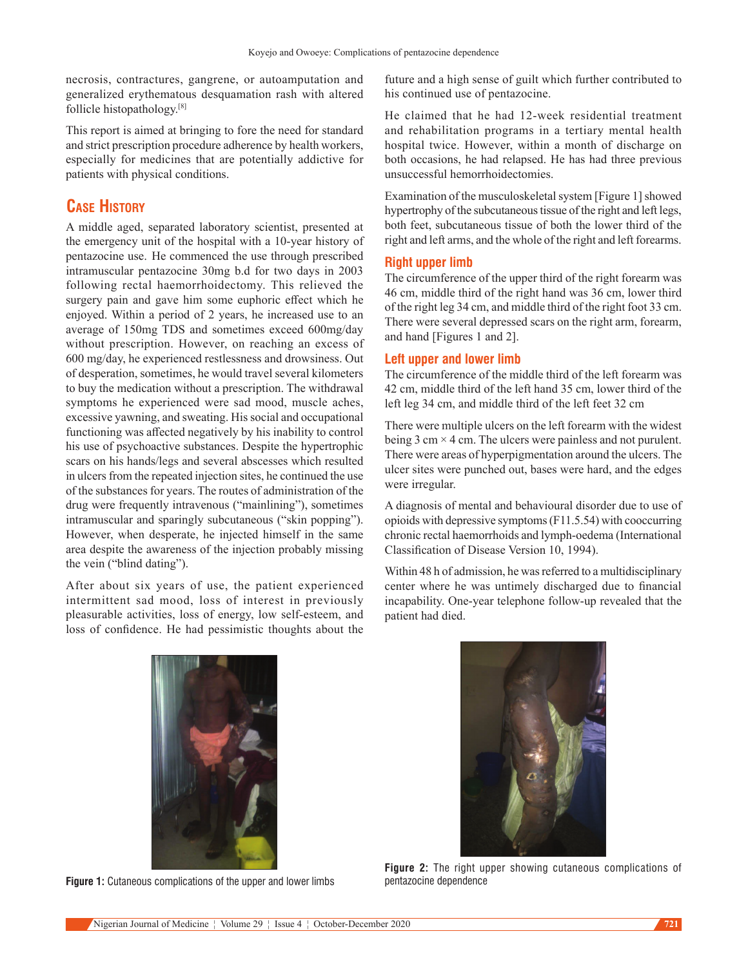necrosis, contractures, gangrene, or autoamputation and generalized erythematous desquamation rash with altered follicle histopathology.[8]

This report is aimed at bringing to fore the need for standard and strict prescription procedure adherence by health workers, especially for medicines that are potentially addictive for patients with physical conditions.

# **Case History**

A middle aged, separated laboratory scientist, presented at the emergency unit of the hospital with a 10‑year history of pentazocine use.  He commenced the use through prescribed intramuscular pentazocine 30mg b.d for two days in 2003 following rectal haemorrhoidectomy. This relieved the surgery pain and gave him some euphoric effect which he enjoyed. Within a period of 2 years, he increased use to an average of 150mg TDS and sometimes exceed 600mg/day without prescription. However, on reaching an excess of 600 mg/day, he experienced restlessness and drowsiness. Out of desperation, sometimes, he would travel several kilometers to buy the medication without a prescription. The withdrawal symptoms he experienced were sad mood, muscle aches, excessive yawning, and sweating. His social and occupational functioning was affected negatively by his inability to control his use of psychoactive substances. Despite the hypertrophic scars on his hands/legs and several abscesses which resulted in ulcers from the repeated injection sites, he continued the use of the substances for years. The routes of administration of the drug were frequently intravenous ("mainlining"), sometimes intramuscular and sparingly subcutaneous ("skin popping"). However, when desperate, he injected himself in the same area despite the awareness of the injection probably missing the vein ("blind dating").

After about six years of use, the patient experienced intermittent sad mood, loss of interest in previously pleasurable activities, loss of energy, low self‑esteem, and loss of confidence. He had pessimistic thoughts about the

future and a high sense of guilt which further contributed to his continued use of pentazocine.

He claimed that he had 12-week residential treatment and rehabilitation programs in a tertiary mental health hospital twice. However, within a month of discharge on both occasions, he had relapsed. He has had three previous unsuccessful hemorrhoidectomies.

Examination of the musculoskeletal system [Figure 1] showed hypertrophy of the subcutaneous tissue of the right and left legs, both feet, subcutaneous tissue of both the lower third of the right and left arms, and the whole of the right and left forearms.

#### **Right upper limb**

The circumference of the upper third of the right forearm was 46 cm, middle third of the right hand was 36 cm, lower third of the right leg 34 cm, and middle third of the right foot 33 cm. There were several depressed scars on the right arm, forearm, and hand [Figures 1 and 2].

#### **Left upper and lower limb**

The circumference of the middle third of the left forearm was 42 cm, middle third of the left hand 35 cm, lower third of the left leg 34 cm, and middle third of the left feet 32 cm

There were multiple ulcers on the left forearm with the widest being  $3 \text{ cm} \times 4 \text{ cm}$ . The ulcers were painless and not purulent. There were areas of hyperpigmentation around the ulcers. The ulcer sites were punched out, bases were hard, and the edges were irregular.

A diagnosis of mental and behavioural disorder due to use of opioids with depressive symptoms (F11.5.54) with cooccurring chronic rectal haemorrhoids and lymph-oedema (International Classification of Disease Version 10, 1994).

Within 48 h of admission, he was referred to a multidisciplinary center where he was untimely discharged due to financial incapability. One‑year telephone follow‑up revealed that the patient had died.



**Figure 1:** Cutaneous complications of the upper and lower limbs pentazocine dependence



**Figure 2:** The right upper showing cutaneous complications of